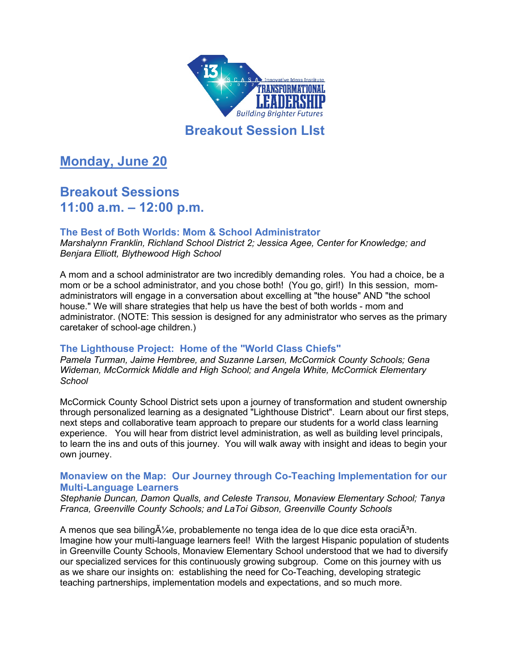

## **Breakout Session LIst**

**Monday, June 20**

# **Breakout Sessions 11:00 a.m. – 12:00 p.m.**

## **The Best of Both Worlds: Mom & School Administrator**

*Marshalynn Franklin, Richland School District 2; Jessica Agee, Center for Knowledge; and Benjara Elliott, Blythewood High School*

A mom and a school administrator are two incredibly demanding roles. You had a choice, be a mom or be a school administrator, and you chose both! (You go, girl!) In this session, momadministrators will engage in a conversation about excelling at "the house" AND "the school house." We will share strategies that help us have the best of both worlds - mom and administrator. (NOTE: This session is designed for any administrator who serves as the primary caretaker of school-age children.)

## **The Lighthouse Project: Home of the "World Class Chiefs"**

*Pamela Turman, Jaime Hembree, and Suzanne Larsen, McCormick County Schools; Gena Wideman, McCormick Middle and High School; and Angela White, McCormick Elementary School*

McCormick County School District sets upon a journey of transformation and student ownership through personalized learning as a designated "Lighthouse District". Learn about our first steps, next steps and collaborative team approach to prepare our students for a world class learning experience. You will hear from district level administration, as well as building level principals, to learn the ins and outs of this journey. You will walk away with insight and ideas to begin your own journey.

## **Monaview on the Map: Our Journey through Co-Teaching Implementation for our Multi-Language Learners**

*Stephanie Duncan, Damon Qualls, and Celeste Transou, Monaview Elementary School; Tanya Franca, Greenville County Schools; and LaToi Gibson, Greenville County Schools*

A menos que sea biling $\tilde{A}$ /<sub>4</sub>e, probablemente no tenga idea de lo que dice esta oraci $\tilde{A}^3$ n. Imagine how your multi-language learners feel! With the largest Hispanic population of students in Greenville County Schools, Monaview Elementary School understood that we had to diversify our specialized services for this continuously growing subgroup. Come on this journey with us as we share our insights on: establishing the need for Co-Teaching, developing strategic teaching partnerships, implementation models and expectations, and so much more.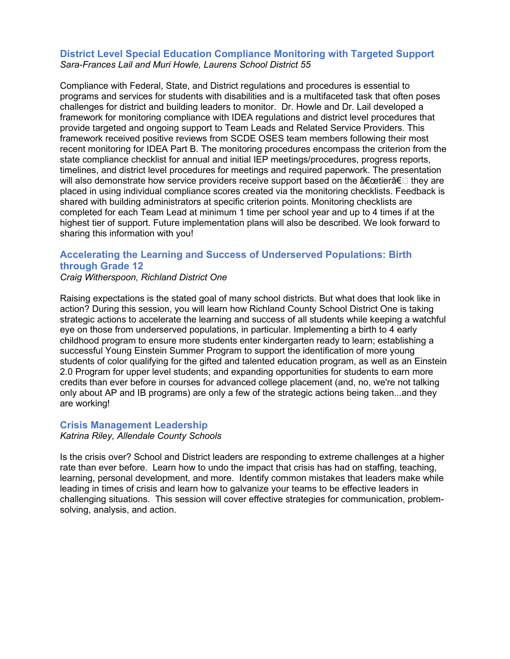### **District Level Special Education Compliance Monitoring with Targeted Support** *Sara-Frances Lail and Muri Howle, Laurens School District 55*

Compliance with Federal, State, and District regulations and procedures is essential to programs and services for students with disabilities and is a multifaceted task that often poses challenges for district and building leaders to monitor. Dr. Howle and Dr. Lail developed a framework for monitoring compliance with IDEA regulations and district level procedures that provide targeted and ongoing support to Team Leads and Related Service Providers. This framework received positive reviews from SCDE OSES team members following their most recent monitoring for IDEA Part B. The monitoring procedures encompass the criterion from the state compliance checklist for annual and initial IEP meetings/procedures, progress reports, timelines, and district level procedures for meetings and required paperwork. The presentation will also demonstrate how service providers receive support based on the  $\hat{a} \in \hat{a} \in \mathbb{R}$  they are placed in using individual compliance scores created via the monitoring checklists. Feedback is shared with building administrators at specific criterion points. Monitoring checklists are completed for each Team Lead at minimum 1 time per school year and up to 4 times if at the highest tier of support. Future implementation plans will also be described. We look forward to sharing this information with you!

## **Accelerating the Learning and Success of Underserved Populations: Birth through Grade 12**

*Craig Witherspoon, Richland District One*

Raising expectations is the stated goal of many school districts. But what does that look like in action? During this session, you will learn how Richland County School District One is taking strategic actions to accelerate the learning and success of all students while keeping a watchful eye on those from underserved populations, in particular. Implementing a birth to 4 early childhood program to ensure more students enter kindergarten ready to learn; establishing a successful Young Einstein Summer Program to support the identification of more young students of color qualifying for the gifted and talented education program, as well as an Einstein 2.0 Program for upper level students; and expanding opportunities for students to earn more credits than ever before in courses for advanced college placement (and, no, we're not talking only about AP and IB programs) are only a few of the strategic actions being taken...and they are working!

## **Crisis Management Leadership**

*Katrina Riley, Allendale County Schools*

Is the crisis over? School and District leaders are responding to extreme challenges at a higher rate than ever before. Learn how to undo the impact that crisis has had on staffing, teaching, learning, personal development, and more. Identify common mistakes that leaders make while leading in times of crisis and learn how to galvanize your teams to be effective leaders in challenging situations. This session will cover effective strategies for communication, problemsolving, analysis, and action.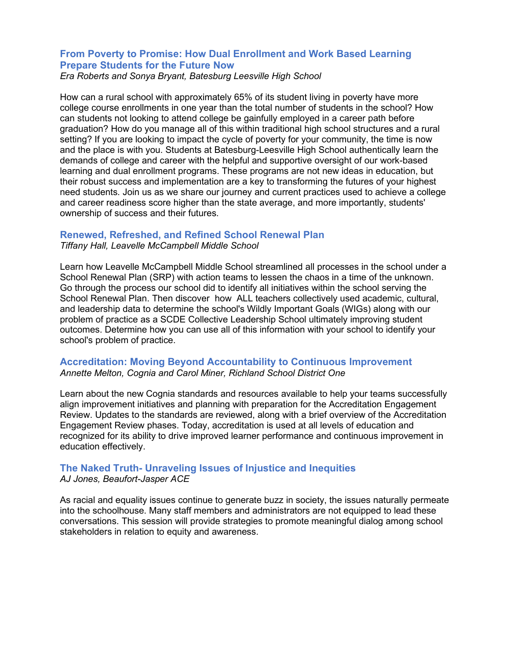## **From Poverty to Promise: How Dual Enrollment and Work Based Learning Prepare Students for the Future Now**

*Era Roberts and Sonya Bryant, Batesburg Leesville High School*

How can a rural school with approximately 65% of its student living in poverty have more college course enrollments in one year than the total number of students in the school? How can students not looking to attend college be gainfully employed in a career path before graduation? How do you manage all of this within traditional high school structures and a rural setting? If you are looking to impact the cycle of poverty for your community, the time is now and the place is with you. Students at Batesburg-Leesville High School authentically learn the demands of college and career with the helpful and supportive oversight of our work-based learning and dual enrollment programs. These programs are not new ideas in education, but their robust success and implementation are a key to transforming the futures of your highest need students. Join us as we share our journey and current practices used to achieve a college and career readiness score higher than the state average, and more importantly, students' ownership of success and their futures.

## **Renewed, Refreshed, and Refined School Renewal Plan**

*Tiffany Hall, Leavelle McCampbell Middle School*

Learn how Leavelle McCampbell Middle School streamlined all processes in the school under a School Renewal Plan (SRP) with action teams to lessen the chaos in a time of the unknown. Go through the process our school did to identify all initiatives within the school serving the School Renewal Plan. Then discover how ALL teachers collectively used academic, cultural, and leadership data to determine the school's Wildly Important Goals (WIGs) along with our problem of practice as a SCDE Collective Leadership School ultimately improving student outcomes. Determine how you can use all of this information with your school to identify your school's problem of practice.

## **Accreditation: Moving Beyond Accountability to Continuous Improvement** *Annette Melton, Cognia and Carol Miner, Richland School District One*

Learn about the new Cognia standards and resources available to help your teams successfully align improvement initiatives and planning with preparation for the Accreditation Engagement Review. Updates to the standards are reviewed, along with a brief overview of the Accreditation Engagement Review phases. Today, accreditation is used at all levels of education and recognized for its ability to drive improved learner performance and continuous improvement in education effectively.

## **The Naked Truth- Unraveling Issues of Injustice and Inequities** *AJ Jones, Beaufort-Jasper ACE*

As racial and equality issues continue to generate buzz in society, the issues naturally permeate into the schoolhouse. Many staff members and administrators are not equipped to lead these conversations. This session will provide strategies to promote meaningful dialog among school stakeholders in relation to equity and awareness.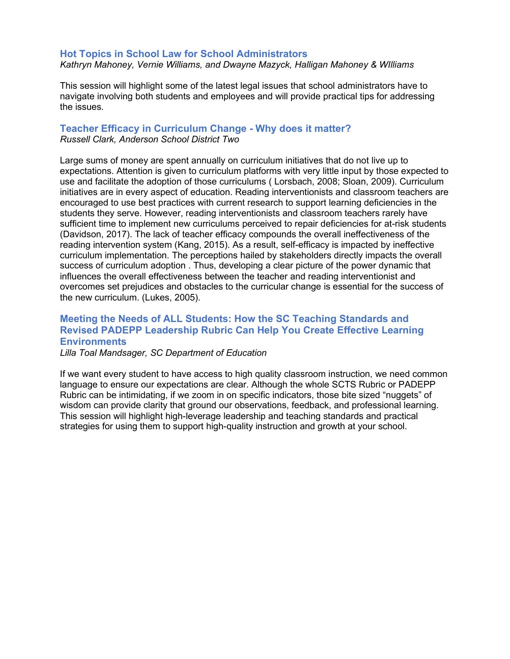#### **Hot Topics in School Law for School Administrators** *Kathryn Mahoney, Vernie Williams, and Dwayne Mazyck, Halligan Mahoney & WIlliams*

This session will highlight some of the latest legal issues that school administrators have to navigate involving both students and employees and will provide practical tips for addressing the issues.

## **Teacher Efficacy in Curriculum Change - Why does it matter?** *Russell Clark, Anderson School District Two*

Large sums of money are spent annually on curriculum initiatives that do not live up to expectations. Attention is given to curriculum platforms with very little input by those expected to use and facilitate the adoption of those curriculums ( Lorsbach, 2008; Sloan, 2009). Curriculum initiatives are in every aspect of education. Reading interventionists and classroom teachers are encouraged to use best practices with current research to support learning deficiencies in the students they serve. However, reading interventionists and classroom teachers rarely have sufficient time to implement new curriculums perceived to repair deficiencies for at-risk students (Davidson, 2017). The lack of teacher efficacy compounds the overall ineffectiveness of the reading intervention system (Kang, 2015). As a result, self-efficacy is impacted by ineffective curriculum implementation. The perceptions hailed by stakeholders directly impacts the overall success of curriculum adoption . Thus, developing a clear picture of the power dynamic that influences the overall effectiveness between the teacher and reading interventionist and overcomes set prejudices and obstacles to the curricular change is essential for the success of the new curriculum. (Lukes, 2005).

## **Meeting the Needs of ALL Students: How the SC Teaching Standards and Revised PADEPP Leadership Rubric Can Help You Create Effective Learning Environments**

*Lilla Toal Mandsager, SC Department of Education*

If we want every student to have access to high quality classroom instruction, we need common language to ensure our expectations are clear. Although the whole SCTS Rubric or PADEPP Rubric can be intimidating, if we zoom in on specific indicators, those bite sized "nuggets" of wisdom can provide clarity that ground our observations, feedback, and professional learning. This session will highlight high-leverage leadership and teaching standards and practical strategies for using them to support high-quality instruction and growth at your school.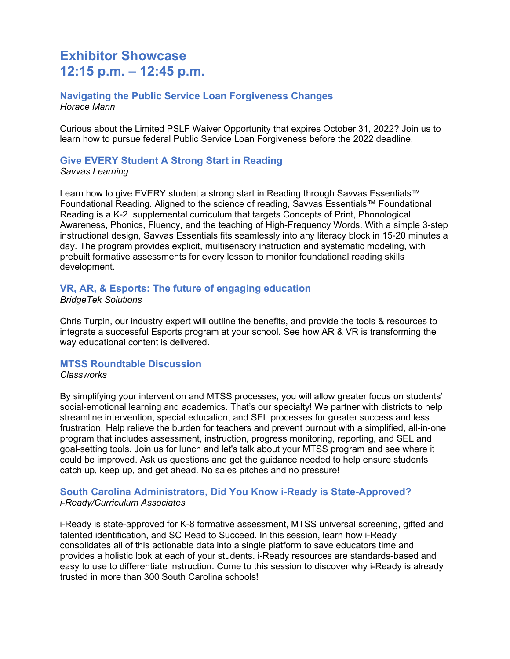## **Exhibitor Showcase 12:15 p.m. – 12:45 p.m.**

### **Navigating the Public Service Loan Forgiveness Changes** *Horace Mann*

Curious about the Limited PSLF Waiver Opportunity that expires October 31, 2022? Join us to learn how to pursue federal Public Service Loan Forgiveness before the 2022 deadline.

## **Give EVERY Student A Strong Start in Reading**

*Savvas Learning*

Learn how to give EVERY student a strong start in Reading through Savvas Essentials™ Foundational Reading. Aligned to the science of reading, Savvas Essentials™ Foundational Reading is a K-2 supplemental curriculum that targets Concepts of Print, Phonological Awareness, Phonics, Fluency, and the teaching of High-Frequency Words. With a simple 3-step instructional design, Savvas Essentials fits seamlessly into any literacy block in 15-20 minutes a day. The program provides explicit, multisensory instruction and systematic modeling, with prebuilt formative assessments for every lesson to monitor foundational reading skills development.

## **VR, AR, & Esports: The future of engaging education**

*BridgeTek Solutions*

Chris Turpin, our industry expert will outline the benefits, and provide the tools & resources to integrate a successful Esports program at your school. See how AR & VR is transforming the way educational content is delivered.

### **MTSS Roundtable Discussion**

#### *Classworks*

By simplifying your intervention and MTSS processes, you will allow greater focus on students' social-emotional learning and academics. That's our specialty! We partner with districts to help streamline intervention, special education, and SEL processes for greater success and less frustration. Help relieve the burden for teachers and prevent burnout with a simplified, all-in-one program that includes assessment, instruction, progress monitoring, reporting, and SEL and goal-setting tools. Join us for lunch and let's talk about your MTSS program and see where it could be improved. Ask us questions and get the guidance needed to help ensure students catch up, keep up, and get ahead. No sales pitches and no pressure!

### **South Carolina Administrators, Did You Know i-Ready is State-Approved?** *i-Ready/Curriculum Associates*

i-Ready is state-approved for K-8 formative assessment, MTSS universal screening, gifted and talented identification, and SC Read to Succeed. In this session, learn how i-Ready consolidates all of this actionable data into a single platform to save educators time and provides a holistic look at each of your students. i-Ready resources are standards-based and easy to use to differentiate instruction. Come to this session to discover why i-Ready is already trusted in more than 300 South Carolina schools!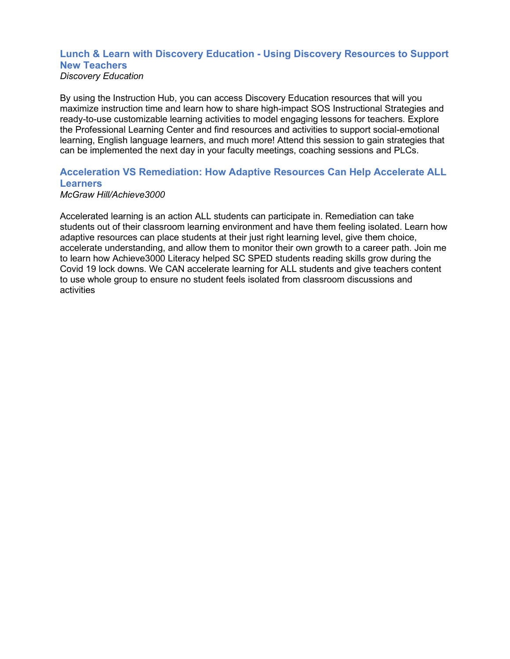#### **Lunch & Learn with Discovery Education - Using Discovery Resources to Support New Teachers** *Discovery Education*

By using the Instruction Hub, you can access Discovery Education resources that will you maximize instruction time and learn how to share high-impact SOS Instructional Strategies and ready-to-use customizable learning activities to model engaging lessons for teachers. Explore the Professional Learning Center and find resources and activities to support social-emotional learning, English language learners, and much more! Attend this session to gain strategies that can be implemented the next day in your faculty meetings, coaching sessions and PLCs.

## **Acceleration VS Remediation: How Adaptive Resources Can Help Accelerate ALL Learners**

*McGraw Hill/Achieve3000*

Accelerated learning is an action ALL students can participate in. Remediation can take students out of their classroom learning environment and have them feeling isolated. Learn how adaptive resources can place students at their just right learning level, give them choice, accelerate understanding, and allow them to monitor their own growth to a career path. Join me to learn how Achieve3000 Literacy helped SC SPED students reading skills grow during the Covid 19 lock downs. We CAN accelerate learning for ALL students and give teachers content to use whole group to ensure no student feels isolated from classroom discussions and activities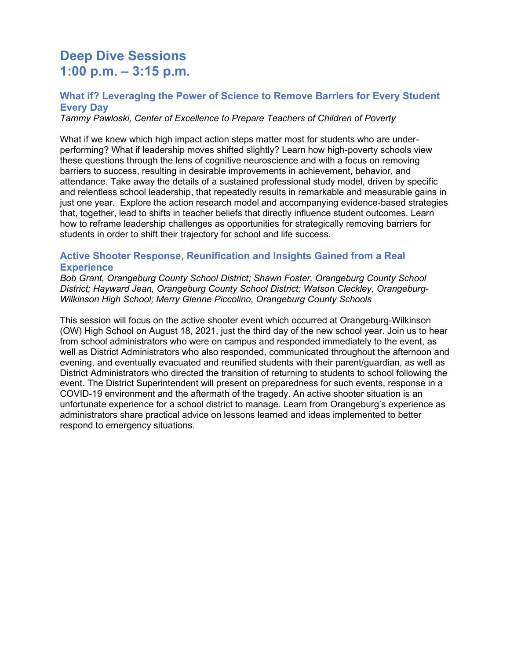# **Deep Dive Sessions 1:00 p.m. – 3:15 p.m.**

## **What if? Leveraging the Power of Science to Remove Barriers for Every Student Every Day**

*Tammy Pawloski, Center of Excellence to Prepare Teachers of Children of Poverty*

What if we knew which high impact action steps matter most for students who are underperforming? What if leadership moves shifted slightly? Learn how high-poverty schools view these questions through the lens of cognitive neuroscience and with a focus on removing barriers to success, resulting in desirable improvements in achievement, behavior, and attendance. Take away the details of a sustained professional study model, driven by specific and relentless school leadership, that repeatedly results in remarkable and measurable gains in just one year. Explore the action research model and accompanying evidence-based strategies that, together, lead to shifts in teacher beliefs that directly influence student outcomes. Learn how to reframe leadership challenges as opportunities for strategically removing barriers for students in order to shift their trajectory for school and life success.

## **Active Shooter Response, Reunification and Insights Gained from a Real Experience**

*Bob Grant, Orangeburg County School District; Shawn Foster, Orangeburg County School District; Hayward Jean, Orangeburg County School District; Watson Cleckley, Orangeburg-Wilkinson High School; Merry Glenne Piccolino, Orangeburg County Schools*

This session will focus on the active shooter event which occurred at Orangeburg-Wilkinson (OW) High School on August 18, 2021, just the third day of the new school year. Join us to hear from school administrators who were on campus and responded immediately to the event, as well as District Administrators who also responded, communicated throughout the afternoon and evening, and eventually evacuated and reunified students with their parent/guardian, as well as District Administrators who directed the transition of returning to students to school following the event. The District Superintendent will present on preparedness for such events, response in a COVID-19 environment and the aftermath of the tragedy. An active shooter situation is an unfortunate experience for a school district to manage. Learn from Orangeburg's experience as administrators share practical advice on lessons learned and ideas implemented to better respond to emergency situations.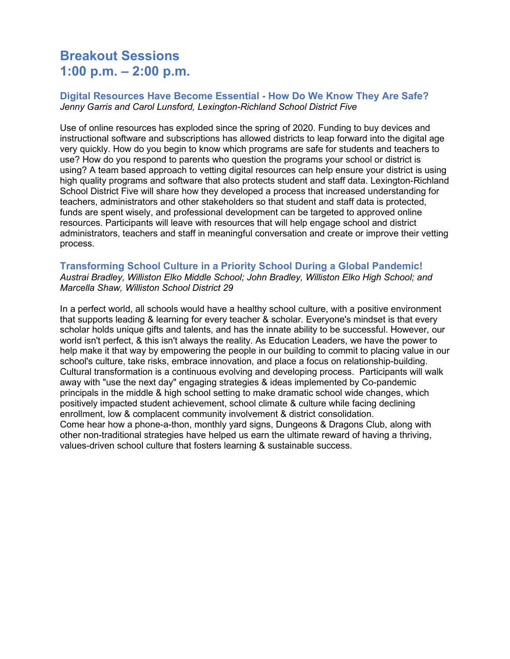# **Breakout Sessions 1:00 p.m. – 2:00 p.m.**

### **Digital Resources Have Become Essential - How Do We Know They Are Safe?** *Jenny Garris and Carol Lunsford, Lexington-Richland School District Five*

Use of online resources has exploded since the spring of 2020. Funding to buy devices and instructional software and subscriptions has allowed districts to leap forward into the digital age very quickly. How do you begin to know which programs are safe for students and teachers to use? How do you respond to parents who question the programs your school or district is using? A team based approach to vetting digital resources can help ensure your district is using high quality programs and software that also protects student and staff data. Lexington-Richland School District Five will share how they developed a process that increased understanding for teachers, administrators and other stakeholders so that student and staff data is protected, funds are spent wisely, and professional development can be targeted to approved online resources. Participants will leave with resources that will help engage school and district administrators, teachers and staff in meaningful conversation and create or improve their vetting process.

#### **Transforming School Culture in a Priority School During a Global Pandemic!** *Austrai Bradley, Williston Elko Middle School; John Bradley, Williston Elko High School; and Marcella Shaw, Williston School District 29*

In a perfect world, all schools would have a healthy school culture, with a positive environment that supports leading & learning for every teacher & scholar. Everyone's mindset is that every scholar holds unique gifts and talents, and has the innate ability to be successful. However, our world isn't perfect, & this isn't always the reality. As Education Leaders, we have the power to help make it that way by empowering the people in our building to commit to placing value in our school's culture, take risks, embrace innovation, and place a focus on relationship-building. Cultural transformation is a continuous evolving and developing process. Participants will walk away with "use the next day" engaging strategies & ideas implemented by Co-pandemic principals in the middle & high school setting to make dramatic school wide changes, which positively impacted student achievement, school climate & culture while facing declining enrollment, low & complacent community involvement & district consolidation. Come hear how a phone-a-thon, monthly yard signs, Dungeons & Dragons Club, along with other non-traditional strategies have helped us earn the ultimate reward of having a thriving, values-driven school culture that fosters learning & sustainable success.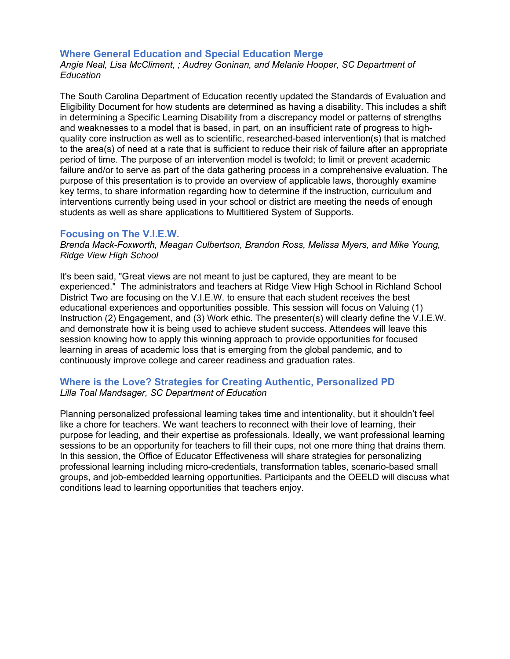#### **Where General Education and Special Education Merge**

*Angie Neal, Lisa McCliment, ; Audrey Goninan, and Melanie Hooper, SC Department of Education*

The South Carolina Department of Education recently updated the Standards of Evaluation and Eligibility Document for how students are determined as having a disability. This includes a shift in determining a Specific Learning Disability from a discrepancy model or patterns of strengths and weaknesses to a model that is based, in part, on an insufficient rate of progress to highquality core instruction as well as to scientific, researched-based intervention(s) that is matched to the area(s) of need at a rate that is sufficient to reduce their risk of failure after an appropriate period of time. The purpose of an intervention model is twofold; to limit or prevent academic failure and/or to serve as part of the data gathering process in a comprehensive evaluation. The purpose of this presentation is to provide an overview of applicable laws, thoroughly examine key terms, to share information regarding how to determine if the instruction, curriculum and interventions currently being used in your school or district are meeting the needs of enough students as well as share applications to Multitiered System of Supports.

#### **Focusing on The V.I.E.W.**

*Brenda Mack-Foxworth, Meagan Culbertson, Brandon Ross, Melissa Myers, and Mike Young, Ridge View High School*

It's been said, "Great views are not meant to just be captured, they are meant to be experienced." The administrators and teachers at Ridge View High School in Richland School District Two are focusing on the V.I.E.W. to ensure that each student receives the best educational experiences and opportunities possible. This session will focus on Valuing (1) Instruction (2) Engagement, and (3) Work ethic. The presenter(s) will clearly define the V.I.E.W. and demonstrate how it is being used to achieve student success. Attendees will leave this session knowing how to apply this winning approach to provide opportunities for focused learning in areas of academic loss that is emerging from the global pandemic, and to continuously improve college and career readiness and graduation rates.

### **Where is the Love? Strategies for Creating Authentic, Personalized PD** *Lilla Toal Mandsager, SC Department of Education*

Planning personalized professional learning takes time and intentionality, but it shouldn't feel like a chore for teachers. We want teachers to reconnect with their love of learning, their purpose for leading, and their expertise as professionals. Ideally, we want professional learning sessions to be an opportunity for teachers to fill their cups, not one more thing that drains them. In this session, the Office of Educator Effectiveness will share strategies for personalizing professional learning including micro-credentials, transformation tables, scenario-based small groups, and job-embedded learning opportunities. Participants and the OEELD will discuss what conditions lead to learning opportunities that teachers enjoy.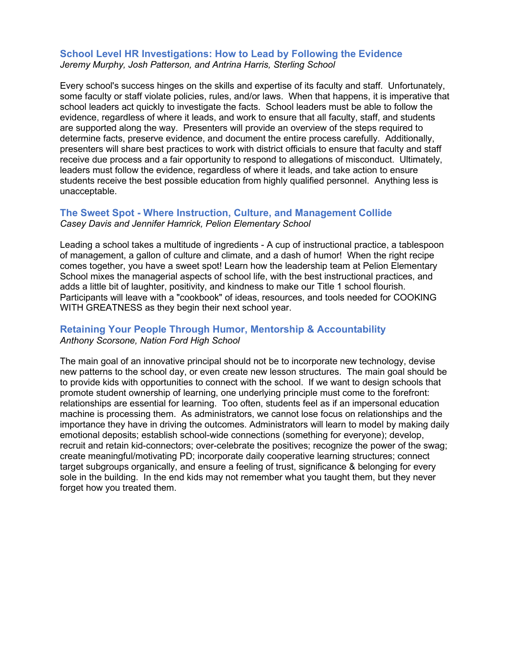#### **School Level HR Investigations: How to Lead by Following the Evidence** *Jeremy Murphy, Josh Patterson, and Antrina Harris, Sterling School*

Every school's success hinges on the skills and expertise of its faculty and staff. Unfortunately, some faculty or staff violate policies, rules, and/or laws. When that happens, it is imperative that school leaders act quickly to investigate the facts. School leaders must be able to follow the evidence, regardless of where it leads, and work to ensure that all faculty, staff, and students are supported along the way. Presenters will provide an overview of the steps required to determine facts, preserve evidence, and document the entire process carefully. Additionally, presenters will share best practices to work with district officials to ensure that faculty and staff receive due process and a fair opportunity to respond to allegations of misconduct. Ultimately, leaders must follow the evidence, regardless of where it leads, and take action to ensure students receive the best possible education from highly qualified personnel. Anything less is unacceptable.

## **The Sweet Spot - Where Instruction, Culture, and Management Collide** *Casey Davis and Jennifer Hamrick, Pelion Elementary School*

Leading a school takes a multitude of ingredients - A cup of instructional practice, a tablespoon of management, a gallon of culture and climate, and a dash of humor! When the right recipe comes together, you have a sweet spot! Learn how the leadership team at Pelion Elementary School mixes the managerial aspects of school life, with the best instructional practices, and adds a little bit of laughter, positivity, and kindness to make our Title 1 school flourish. Participants will leave with a "cookbook" of ideas, resources, and tools needed for COOKING WITH GREATNESS as they begin their next school year.

## **Retaining Your People Through Humor, Mentorship & Accountability** *Anthony Scorsone, Nation Ford High School*

The main goal of an innovative principal should not be to incorporate new technology, devise new patterns to the school day, or even create new lesson structures. The main goal should be to provide kids with opportunities to connect with the school. If we want to design schools that promote student ownership of learning, one underlying principle must come to the forefront: relationships are essential for learning. Too often, students feel as if an impersonal education machine is processing them. As administrators, we cannot lose focus on relationships and the importance they have in driving the outcomes. Administrators will learn to model by making daily emotional deposits; establish school-wide connections (something for everyone); develop, recruit and retain kid-connectors; over-celebrate the positives; recognize the power of the swag; create meaningful/motivating PD; incorporate daily cooperative learning structures; connect target subgroups organically, and ensure a feeling of trust, significance & belonging for every sole in the building. In the end kids may not remember what you taught them, but they never forget how you treated them.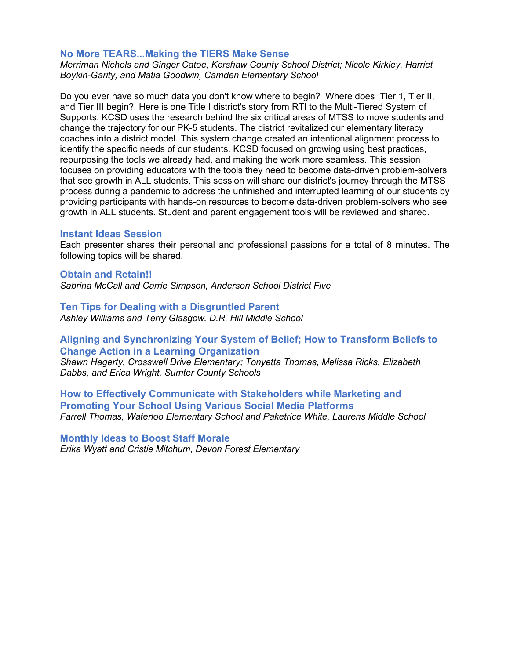#### **No More TEARS...Making the TIERS Make Sense**

*Merriman Nichols and Ginger Catoe, Kershaw County School District; Nicole Kirkley, Harriet Boykin-Garity, and Matia Goodwin, Camden Elementary School*

Do you ever have so much data you don't know where to begin? Where does Tier 1, Tier II, and Tier III begin? Here is one Title I district's story from RTI to the Multi-Tiered System of Supports. KCSD uses the research behind the six critical areas of MTSS to move students and change the trajectory for our PK-5 students. The district revitalized our elementary literacy coaches into a district model. This system change created an intentional alignment process to identify the specific needs of our students. KCSD focused on growing using best practices, repurposing the tools we already had, and making the work more seamless. This session focuses on providing educators with the tools they need to become data-driven problem-solvers that see growth in ALL students. This session will share our district's journey through the MTSS process during a pandemic to address the unfinished and interrupted learning of our students by providing participants with hands-on resources to become data-driven problem-solvers who see growth in ALL students. Student and parent engagement tools will be reviewed and shared.

#### **Instant Ideas Session**

Each presenter shares their personal and professional passions for a total of 8 minutes. The following topics will be shared.

#### **Obtain and Retain!!**

*Sabrina McCall and Carrie Simpson, Anderson School District Five*

## **Ten Tips for Dealing with a Disgruntled Parent**

*Ashley Williams and Terry Glasgow, D.R. Hill Middle School*

## **Aligning and Synchronizing Your System of Belief; How to Transform Beliefs to Change Action in a Learning Organization**

*Shawn Hagerty, Crosswell Drive Elementary; Tonyetta Thomas, Melissa Ricks, Elizabeth Dabbs, and Erica Wright, Sumter County Schools*

**How to Effectively Communicate with Stakeholders while Marketing and Promoting Your School Using Various Social Media Platforms** *Farrell Thomas, Waterloo Elementary School and Paketrice White, Laurens Middle School*

#### **Monthly Ideas to Boost Staff Morale**

*Erika Wyatt and Cristie Mitchum, Devon Forest Elementary*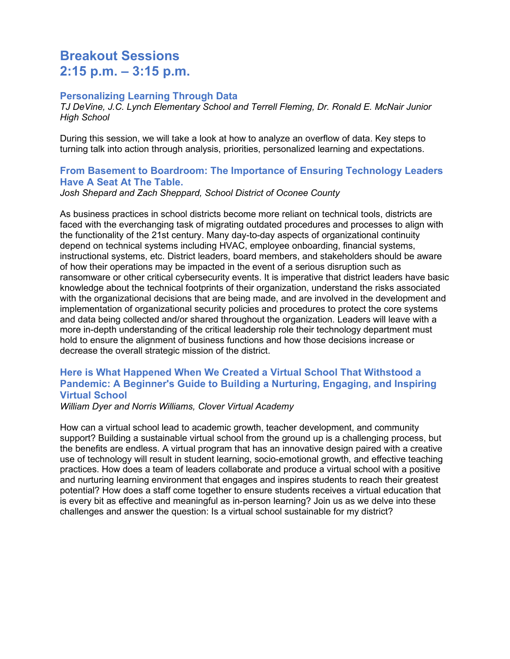# **Breakout Sessions 2:15 p.m. – 3:15 p.m.**

### **Personalizing Learning Through Data**

*TJ DeVine, J.C. Lynch Elementary School and Terrell Fleming, Dr. Ronald E. McNair Junior High School*

During this session, we will take a look at how to analyze an overflow of data. Key steps to turning talk into action through analysis, priorities, personalized learning and expectations.

## **From Basement to Boardroom: The Importance of Ensuring Technology Leaders Have A Seat At The Table.**

*Josh Shepard and Zach Sheppard, School District of Oconee County*

As business practices in school districts become more reliant on technical tools, districts are faced with the everchanging task of migrating outdated procedures and processes to align with the functionality of the 21st century. Many day-to-day aspects of organizational continuity depend on technical systems including HVAC, employee onboarding, financial systems, instructional systems, etc. District leaders, board members, and stakeholders should be aware of how their operations may be impacted in the event of a serious disruption such as ransomware or other critical cybersecurity events. It is imperative that district leaders have basic knowledge about the technical footprints of their organization, understand the risks associated with the organizational decisions that are being made, and are involved in the development and implementation of organizational security policies and procedures to protect the core systems and data being collected and/or shared throughout the organization. Leaders will leave with a more in-depth understanding of the critical leadership role their technology department must hold to ensure the alignment of business functions and how those decisions increase or decrease the overall strategic mission of the district.

## **Here is What Happened When We Created a Virtual School That Withstood a Pandemic: A Beginner's Guide to Building a Nurturing, Engaging, and Inspiring Virtual School**

*William Dyer and Norris Williams, Clover Virtual Academy*

How can a virtual school lead to academic growth, teacher development, and community support? Building a sustainable virtual school from the ground up is a challenging process, but the benefits are endless. A virtual program that has an innovative design paired with a creative use of technology will result in student learning, socio-emotional growth, and effective teaching practices. How does a team of leaders collaborate and produce a virtual school with a positive and nurturing learning environment that engages and inspires students to reach their greatest potential? How does a staff come together to ensure students receives a virtual education that is every bit as effective and meaningful as in-person learning? Join us as we delve into these challenges and answer the question: Is a virtual school sustainable for my district?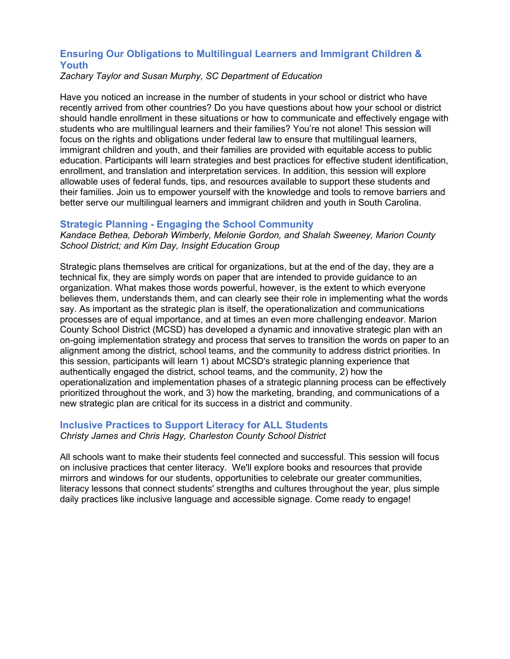## **Ensuring Our Obligations to Multilingual Learners and Immigrant Children & Youth**

#### *Zachary Taylor and Susan Murphy, SC Department of Education*

Have you noticed an increase in the number of students in your school or district who have recently arrived from other countries? Do you have questions about how your school or district should handle enrollment in these situations or how to communicate and effectively engage with students who are multilingual learners and their families? You're not alone! This session will focus on the rights and obligations under federal law to ensure that multilingual learners, immigrant children and youth, and their families are provided with equitable access to public education. Participants will learn strategies and best practices for effective student identification, enrollment, and translation and interpretation services. In addition, this session will explore allowable uses of federal funds, tips, and resources available to support these students and their families. Join us to empower yourself with the knowledge and tools to remove barriers and better serve our multilingual learners and immigrant children and youth in South Carolina.

### **Strategic Planning - Engaging the School Community**

*Kandace Bethea, Deborah Wimberly, Melonie Gordon, and Shalah Sweeney, Marion County School District; and Kim Day, Insight Education Group*

Strategic plans themselves are critical for organizations, but at the end of the day, they are a technical fix, they are simply words on paper that are intended to provide guidance to an organization. What makes those words powerful, however, is the extent to which everyone believes them, understands them, and can clearly see their role in implementing what the words say. As important as the strategic plan is itself, the operationalization and communications processes are of equal importance, and at times an even more challenging endeavor. Marion County School District (MCSD) has developed a dynamic and innovative strategic plan with an on-going implementation strategy and process that serves to transition the words on paper to an alignment among the district, school teams, and the community to address district priorities. In this session, participants will learn 1) about MCSD's strategic planning experience that authentically engaged the district, school teams, and the community, 2) how the operationalization and implementation phases of a strategic planning process can be effectively prioritized throughout the work, and 3) how the marketing, branding, and communications of a new strategic plan are critical for its success in a district and community.

## **Inclusive Practices to Support Literacy for ALL Students**

*Christy James and Chris Hagy, Charleston County School District*

All schools want to make their students feel connected and successful. This session will focus on inclusive practices that center literacy. We'll explore books and resources that provide mirrors and windows for our students, opportunities to celebrate our greater communities, literacy lessons that connect students' strengths and cultures throughout the year, plus simple daily practices like inclusive language and accessible signage. Come ready to engage!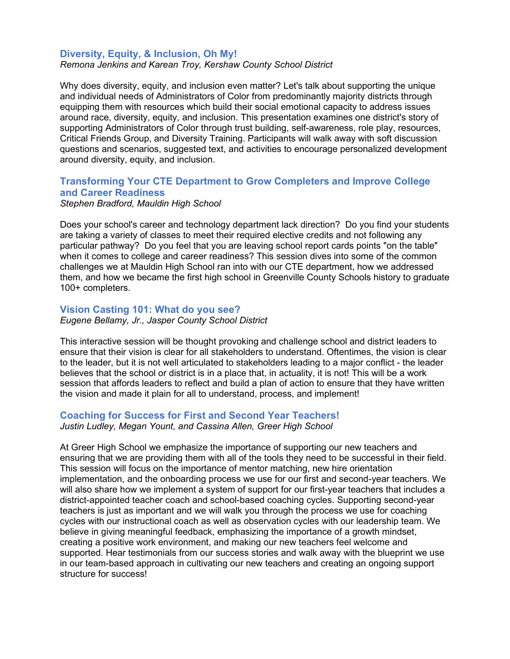### **Diversity, Equity, & Inclusion, Oh My!**

*Remona Jenkins and Karean Troy, Kershaw County School District*

Why does diversity, equity, and inclusion even matter? Let's talk about supporting the unique and individual needs of Administrators of Color from predominantly majority districts through equipping them with resources which build their social emotional capacity to address issues around race, diversity, equity, and inclusion. This presentation examines one district's story of supporting Administrators of Color through trust building, self-awareness, role play, resources, Critical Friends Group, and Diversity Training. Participants will walk away with soft discussion questions and scenarios, suggested text, and activities to encourage personalized development around diversity, equity, and inclusion.

## **Transforming Your CTE Department to Grow Completers and Improve College and Career Readiness**

#### *Stephen Bradford, Mauldin High School*

Does your school's career and technology department lack direction? Do you find your students are taking a variety of classes to meet their required elective credits and not following any particular pathway? Do you feel that you are leaving school report cards points "on the table" when it comes to college and career readiness? This session dives into some of the common challenges we at Mauldin High School ran into with our CTE department, how we addressed them, and how we became the first high school in Greenville County Schools history to graduate 100+ completers.

#### **Vision Casting 101: What do you see?**

*Eugene Bellamy, Jr., Jasper County School District*

This interactive session will be thought provoking and challenge school and district leaders to ensure that their vision is clear for all stakeholders to understand. Oftentimes, the vision is clear to the leader, but it is not well articulated to stakeholders leading to a major conflict - the leader believes that the school or district is in a place that, in actuality, it is not! This will be a work session that affords leaders to reflect and build a plan of action to ensure that they have written the vision and made it plain for all to understand, process, and implement!

### **Coaching for Success for First and Second Year Teachers!**

*Justin Ludley, Megan Yount, and Cassina Allen, Greer High School*

At Greer High School we emphasize the importance of supporting our new teachers and ensuring that we are providing them with all of the tools they need to be successful in their field. This session will focus on the importance of mentor matching, new hire orientation implementation, and the onboarding process we use for our first and second-year teachers. We will also share how we implement a system of support for our first-year teachers that includes a district-appointed teacher coach and school-based coaching cycles. Supporting second-year teachers is just as important and we will walk you through the process we use for coaching cycles with our instructional coach as well as observation cycles with our leadership team. We believe in giving meaningful feedback, emphasizing the importance of a growth mindset, creating a positive work environment, and making our new teachers feel welcome and supported. Hear testimonials from our success stories and walk away with the blueprint we use in our team-based approach in cultivating our new teachers and creating an ongoing support structure for success!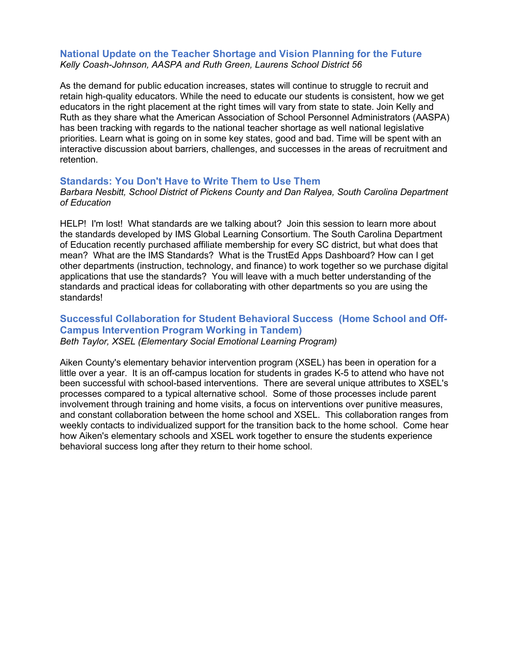### **National Update on the Teacher Shortage and Vision Planning for the Future** *Kelly Coash-Johnson, AASPA and Ruth Green, Laurens School District 56*

As the demand for public education increases, states will continue to struggle to recruit and retain high-quality educators. While the need to educate our students is consistent, how we get educators in the right placement at the right times will vary from state to state. Join Kelly and Ruth as they share what the American Association of School Personnel Administrators (AASPA) has been tracking with regards to the national teacher shortage as well national legislative priorities. Learn what is going on in some key states, good and bad. Time will be spent with an interactive discussion about barriers, challenges, and successes in the areas of recruitment and retention.

#### **Standards: You Don't Have to Write Them to Use Them**

*Barbara Nesbitt, School District of Pickens County and Dan Ralyea, South Carolina Department of Education*

HELP! I'm lost! What standards are we talking about? Join this session to learn more about the standards developed by IMS Global Learning Consortium. The South Carolina Department of Education recently purchased affiliate membership for every SC district, but what does that mean? What are the IMS Standards? What is the TrustEd Apps Dashboard? How can I get other departments (instruction, technology, and finance) to work together so we purchase digital applications that use the standards? You will leave with a much better understanding of the standards and practical ideas for collaborating with other departments so you are using the standards!

### **Successful Collaboration for Student Behavioral Success (Home School and Off-Campus Intervention Program Working in Tandem)** *Beth Taylor, XSEL (Elementary Social Emotional Learning Program)*

Aiken County's elementary behavior intervention program (XSEL) has been in operation for a little over a year. It is an off-campus location for students in grades K-5 to attend who have not been successful with school-based interventions. There are several unique attributes to XSEL's processes compared to a typical alternative school. Some of those processes include parent involvement through training and home visits, a focus on interventions over punitive measures, and constant collaboration between the home school and XSEL. This collaboration ranges from weekly contacts to individualized support for the transition back to the home school. Come hear how Aiken's elementary schools and XSEL work together to ensure the students experience behavioral success long after they return to their home school.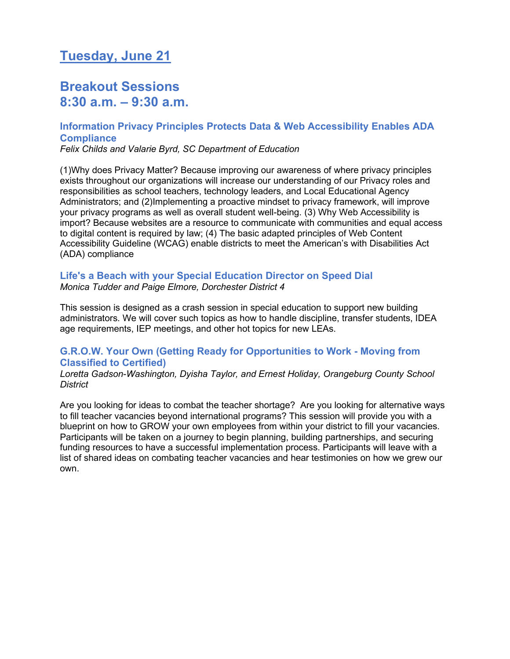# **Tuesday, June 21**

## **Breakout Sessions 8:30 a.m. – 9:30 a.m.**

## **Information Privacy Principles Protects Data & Web Accessibility Enables ADA Compliance**

*Felix Childs and Valarie Byrd, SC Department of Education*

(1)Why does Privacy Matter? Because improving our awareness of where privacy principles exists throughout our organizations will increase our understanding of our Privacy roles and responsibilities as school teachers, technology leaders, and Local Educational Agency Administrators; and (2)Implementing a proactive mindset to privacy framework, will improve your privacy programs as well as overall student well-being. (3) Why Web Accessibility is import? Because websites are a resource to communicate with communities and equal access to digital content is required by law; (4) The basic adapted principles of Web Content Accessibility Guideline (WCAG) enable districts to meet the American's with Disabilities Act (ADA) compliance

### **Life's a Beach with your Special Education Director on Speed Dial** *Monica Tudder and Paige Elmore, Dorchester District 4*

This session is designed as a crash session in special education to support new building administrators. We will cover such topics as how to handle discipline, transfer students, IDEA age requirements, IEP meetings, and other hot topics for new LEAs.

## **G.R.O.W. Your Own (Getting Ready for Opportunities to Work - Moving from Classified to Certified)**

*Loretta Gadson-Washington, Dyisha Taylor, and Ernest Holiday, Orangeburg County School District*

Are you looking for ideas to combat the teacher shortage? Are you looking for alternative ways to fill teacher vacancies beyond international programs? This session will provide you with a blueprint on how to GROW your own employees from within your district to fill your vacancies. Participants will be taken on a journey to begin planning, building partnerships, and securing funding resources to have a successful implementation process. Participants will leave with a list of shared ideas on combating teacher vacancies and hear testimonies on how we grew our own.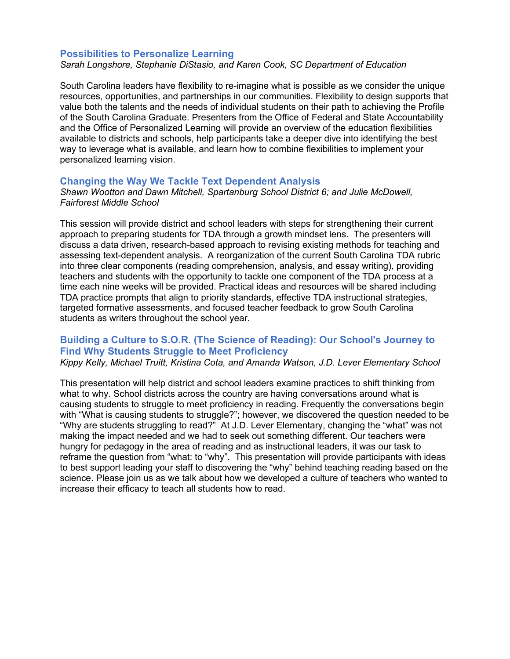#### **Possibilities to Personalize Learning**

*Sarah Longshore, Stephanie DiStasio, and Karen Cook, SC Department of Education*

South Carolina leaders have flexibility to re-imagine what is possible as we consider the unique resources, opportunities, and partnerships in our communities. Flexibility to design supports that value both the talents and the needs of individual students on their path to achieving the Profile of the South Carolina Graduate. Presenters from the Office of Federal and State Accountability and the Office of Personalized Learning will provide an overview of the education flexibilities available to districts and schools, help participants take a deeper dive into identifying the best way to leverage what is available, and learn how to combine flexibilities to implement your personalized learning vision.

#### **Changing the Way We Tackle Text Dependent Analysis**

*Shawn Wootton and Dawn Mitchell, Spartanburg School District 6; and Julie McDowell, Fairforest Middle School*

This session will provide district and school leaders with steps for strengthening their current approach to preparing students for TDA through a growth mindset lens. The presenters will discuss a data driven, research-based approach to revising existing methods for teaching and assessing text-dependent analysis. A reorganization of the current South Carolina TDA rubric into three clear components (reading comprehension, analysis, and essay writing), providing teachers and students with the opportunity to tackle one component of the TDA process at a time each nine weeks will be provided. Practical ideas and resources will be shared including TDA practice prompts that align to priority standards, effective TDA instructional strategies, targeted formative assessments, and focused teacher feedback to grow South Carolina students as writers throughout the school year.

## **Building a Culture to S.O.R. (The Science of Reading): Our School's Journey to Find Why Students Struggle to Meet Proficiency**

*Kippy Kelly, Michael Truitt, Kristina Cota, and Amanda Watson, J.D. Lever Elementary School*

This presentation will help district and school leaders examine practices to shift thinking from what to why. School districts across the country are having conversations around what is causing students to struggle to meet proficiency in reading. Frequently the conversations begin with "What is causing students to struggle?"; however, we discovered the question needed to be "Why are students struggling to read?" At J.D. Lever Elementary, changing the "what" was not making the impact needed and we had to seek out something different. Our teachers were hungry for pedagogy in the area of reading and as instructional leaders, it was our task to reframe the question from "what: to "why". This presentation will provide participants with ideas to best support leading your staff to discovering the "why" behind teaching reading based on the science. Please join us as we talk about how we developed a culture of teachers who wanted to increase their efficacy to teach all students how to read.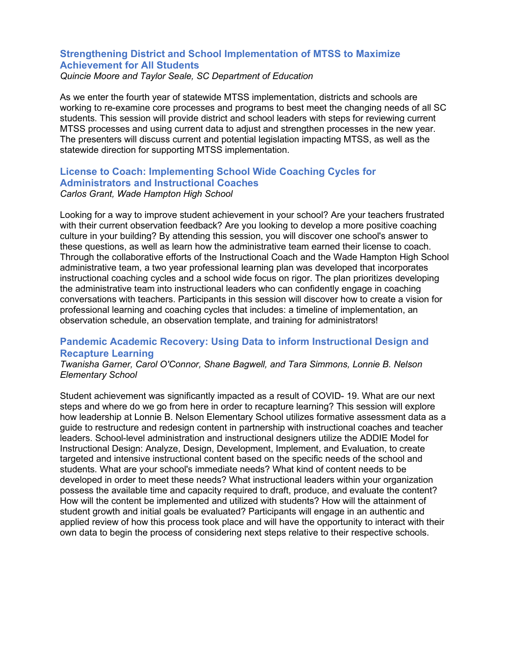## **Strengthening District and School Implementation of MTSS to Maximize Achievement for All Students**

*Quincie Moore and Taylor Seale, SC Department of Education*

As we enter the fourth year of statewide MTSS implementation, districts and schools are working to re-examine core processes and programs to best meet the changing needs of all SC students. This session will provide district and school leaders with steps for reviewing current MTSS processes and using current data to adjust and strengthen processes in the new year. The presenters will discuss current and potential legislation impacting MTSS, as well as the statewide direction for supporting MTSS implementation.

## **License to Coach: Implementing School Wide Coaching Cycles for Administrators and Instructional Coaches**

*Carlos Grant, Wade Hampton High School*

Looking for a way to improve student achievement in your school? Are your teachers frustrated with their current observation feedback? Are you looking to develop a more positive coaching culture in your building? By attending this session, you will discover one school's answer to these questions, as well as learn how the administrative team earned their license to coach. Through the collaborative efforts of the Instructional Coach and the Wade Hampton High School administrative team, a two year professional learning plan was developed that incorporates instructional coaching cycles and a school wide focus on rigor. The plan prioritizes developing the administrative team into instructional leaders who can confidently engage in coaching conversations with teachers. Participants in this session will discover how to create a vision for professional learning and coaching cycles that includes: a timeline of implementation, an observation schedule, an observation template, and training for administrators!

## **Pandemic Academic Recovery: Using Data to inform Instructional Design and Recapture Learning**

*Twanisha Garner, Carol O'Connor, Shane Bagwell, and Tara Simmons, Lonnie B. Nelson Elementary School*

Student achievement was significantly impacted as a result of COVID- 19. What are our next steps and where do we go from here in order to recapture learning? This session will explore how leadership at Lonnie B. Nelson Elementary School utilizes formative assessment data as a guide to restructure and redesign content in partnership with instructional coaches and teacher leaders. School-level administration and instructional designers utilize the ADDIE Model for Instructional Design: Analyze, Design, Development, Implement, and Evaluation, to create targeted and intensive instructional content based on the specific needs of the school and students. What are your school's immediate needs? What kind of content needs to be developed in order to meet these needs? What instructional leaders within your organization possess the available time and capacity required to draft, produce, and evaluate the content? How will the content be implemented and utilized with students? How will the attainment of student growth and initial goals be evaluated? Participants will engage in an authentic and applied review of how this process took place and will have the opportunity to interact with their own data to begin the process of considering next steps relative to their respective schools.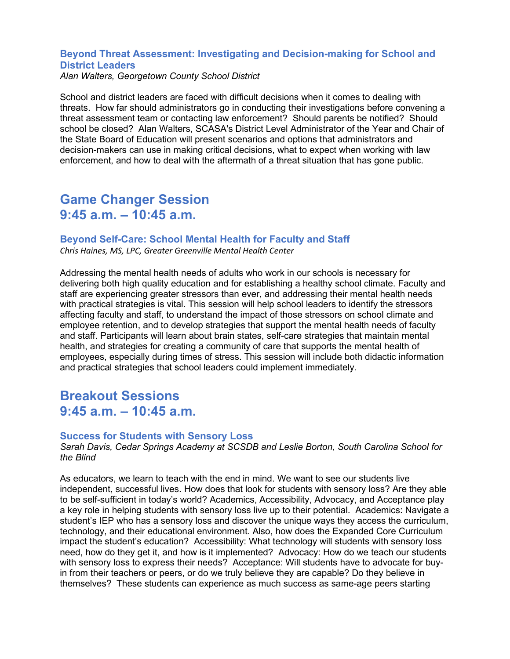## **Beyond Threat Assessment: Investigating and Decision-making for School and District Leaders**

*Alan Walters, Georgetown County School District*

School and district leaders are faced with difficult decisions when it comes to dealing with threats. How far should administrators go in conducting their investigations before convening a threat assessment team or contacting law enforcement? Should parents be notified? Should school be closed? Alan Walters, SCASA's District Level Administrator of the Year and Chair of the State Board of Education will present scenarios and options that administrators and decision-makers can use in making critical decisions, what to expect when working with law enforcement, and how to deal with the aftermath of a threat situation that has gone public.

## **Game Changer Session 9:45 a.m. – 10:45 a.m.**

## **Beyond Self-Care: School Mental Health for Faculty and Staff**

*Chris Haines, MS, LPC, Greater Greenville Mental Health Center*

Addressing the mental health needs of adults who work in our schools is necessary for delivering both high quality education and for establishing a healthy school climate. Faculty and staff are experiencing greater stressors than ever, and addressing their mental health needs with practical strategies is vital. This session will help school leaders to identify the stressors affecting faculty and staff, to understand the impact of those stressors on school climate and employee retention, and to develop strategies that support the mental health needs of faculty and staff. Participants will learn about brain states, self-care strategies that maintain mental health, and strategies for creating a community of care that supports the mental health of employees, especially during times of stress. This session will include both didactic information and practical strategies that school leaders could implement immediately.

## **Breakout Sessions 9:45 a.m. – 10:45 a.m.**

### **Success for Students with Sensory Loss**

*Sarah Davis, Cedar Springs Academy at SCSDB and Leslie Borton, South Carolina School for the Blind*

As educators, we learn to teach with the end in mind. We want to see our students live independent, successful lives. How does that look for students with sensory loss? Are they able to be self-sufficient in today's world? Academics, Accessibility, Advocacy, and Acceptance play a key role in helping students with sensory loss live up to their potential. Academics: Navigate a student's IEP who has a sensory loss and discover the unique ways they access the curriculum, technology, and their educational environment. Also, how does the Expanded Core Curriculum impact the student's education? Accessibility: What technology will students with sensory loss need, how do they get it, and how is it implemented? Advocacy: How do we teach our students with sensory loss to express their needs? Acceptance: Will students have to advocate for buyin from their teachers or peers, or do we truly believe they are capable? Do they believe in themselves? These students can experience as much success as same-age peers starting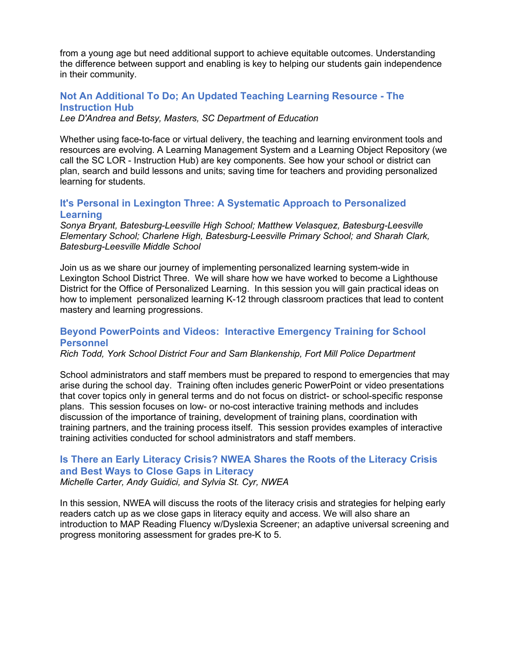from a young age but need additional support to achieve equitable outcomes. Understanding the difference between support and enabling is key to helping our students gain independence in their community.

## **Not An Additional To Do; An Updated Teaching Learning Resource - The Instruction Hub**

*Lee D'Andrea and Betsy, Masters, SC Department of Education*

Whether using face-to-face or virtual delivery, the teaching and learning environment tools and resources are evolving. A Learning Management System and a Learning Object Repository (we call the SC LOR - Instruction Hub) are key components. See how your school or district can plan, search and build lessons and units; saving time for teachers and providing personalized learning for students.

## **It's Personal in Lexington Three: A Systematic Approach to Personalized Learning**

*Sonya Bryant, Batesburg-Leesville High School; Matthew Velasquez, Batesburg-Leesville Elementary School; Charlene High, Batesburg-Leesville Primary School; and Sharah Clark, Batesburg-Leesville Middle School*

Join us as we share our journey of implementing personalized learning system-wide in Lexington School District Three. We will share how we have worked to become a Lighthouse District for the Office of Personalized Learning. In this session you will gain practical ideas on how to implement personalized learning K-12 through classroom practices that lead to content mastery and learning progressions.

## **Beyond PowerPoints and Videos: Interactive Emergency Training for School Personnel**

*Rich Todd, York School District Four and Sam Blankenship, Fort Mill Police Department*

School administrators and staff members must be prepared to respond to emergencies that may arise during the school day. Training often includes generic PowerPoint or video presentations that cover topics only in general terms and do not focus on district- or school-specific response plans. This session focuses on low- or no-cost interactive training methods and includes discussion of the importance of training, development of training plans, coordination with training partners, and the training process itself. This session provides examples of interactive training activities conducted for school administrators and staff members.

## **Is There an Early Literacy Crisis? NWEA Shares the Roots of the Literacy Crisis and Best Ways to Close Gaps in Literacy**

*Michelle Carter, Andy Guidici, and Sylvia St. Cyr, NWEA*

In this session, NWEA will discuss the roots of the literacy crisis and strategies for helping early readers catch up as we close gaps in literacy equity and access. We will also share an introduction to MAP Reading Fluency w/Dyslexia Screener; an adaptive universal screening and progress monitoring assessment for grades pre-K to 5.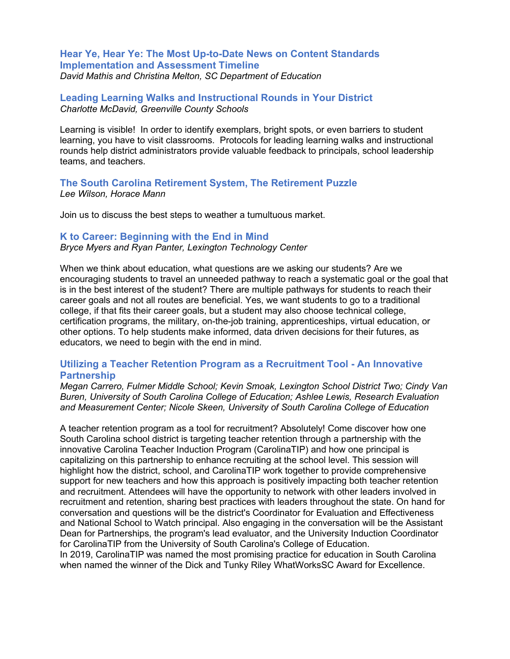## **Hear Ye, Hear Ye: The Most Up-to-Date News on Content Standards Implementation and Assessment Timeline**

*David Mathis and Christina Melton, SC Department of Education*

## **Leading Learning Walks and Instructional Rounds in Your District** *Charlotte McDavid, Greenville County Schools*

Learning is visible! In order to identify exemplars, bright spots, or even barriers to student learning, you have to visit classrooms. Protocols for leading learning walks and instructional rounds help district administrators provide valuable feedback to principals, school leadership teams, and teachers.

#### **The South Carolina Retirement System, The Retirement Puzzle** *Lee Wilson, Horace Mann*

Join us to discuss the best steps to weather a tumultuous market.

#### **K to Career: Beginning with the End in Mind**

*Bryce Myers and Ryan Panter, Lexington Technology Center*

When we think about education, what questions are we asking our students? Are we encouraging students to travel an unneeded pathway to reach a systematic goal or the goal that is in the best interest of the student? There are multiple pathways for students to reach their career goals and not all routes are beneficial. Yes, we want students to go to a traditional college, if that fits their career goals, but a student may also choose technical college, certification programs, the military, on-the-job training, apprenticeships, virtual education, or other options. To help students make informed, data driven decisions for their futures, as educators, we need to begin with the end in mind.

## **Utilizing a Teacher Retention Program as a Recruitment Tool - An Innovative Partnership**

*Megan Carrero, Fulmer Middle School; Kevin Smoak, Lexington School District Two; Cindy Van Buren, University of South Carolina College of Education; Ashlee Lewis, Research Evaluation and Measurement Center; Nicole Skeen, University of South Carolina College of Education*

A teacher retention program as a tool for recruitment? Absolutely! Come discover how one South Carolina school district is targeting teacher retention through a partnership with the innovative Carolina Teacher Induction Program (CarolinaTIP) and how one principal is capitalizing on this partnership to enhance recruiting at the school level. This session will highlight how the district, school, and CarolinaTIP work together to provide comprehensive support for new teachers and how this approach is positively impacting both teacher retention and recruitment. Attendees will have the opportunity to network with other leaders involved in recruitment and retention, sharing best practices with leaders throughout the state. On hand for conversation and questions will be the district's Coordinator for Evaluation and Effectiveness and National School to Watch principal. Also engaging in the conversation will be the Assistant Dean for Partnerships, the program's lead evaluator, and the University Induction Coordinator for CarolinaTIP from the University of South Carolina's College of Education.

In 2019, CarolinaTIP was named the most promising practice for education in South Carolina when named the winner of the Dick and Tunky Riley WhatWorksSC Award for Excellence.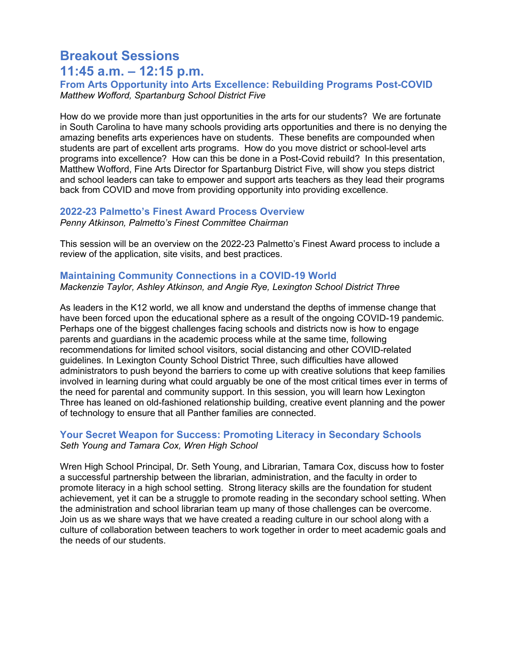# **Breakout Sessions 11:45 a.m. – 12:15 p.m.**

**From Arts Opportunity into Arts Excellence: Rebuilding Programs Post-COVID** *Matthew Wofford, Spartanburg School District Five*

How do we provide more than just opportunities in the arts for our students? We are fortunate in South Carolina to have many schools providing arts opportunities and there is no denying the amazing benefits arts experiences have on students. These benefits are compounded when students are part of excellent arts programs. How do you move district or school-level arts programs into excellence? How can this be done in a Post-Covid rebuild? In this presentation, Matthew Wofford, Fine Arts Director for Spartanburg District Five, will show you steps district and school leaders can take to empower and support arts teachers as they lead their programs back from COVID and move from providing opportunity into providing excellence.

## **2022-23 Palmetto's Finest Award Process Overview**

*Penny Atkinson, Palmetto's Finest Committee Chairman* 

This session will be an overview on the 2022-23 Palmetto's Finest Award process to include a review of the application, site visits, and best practices.

#### **Maintaining Community Connections in a COVID-19 World** *Mackenzie Taylor, Ashley Atkinson, and Angie Rye, Lexington School District Three*

As leaders in the K12 world, we all know and understand the depths of immense change that have been forced upon the educational sphere as a result of the ongoing COVID-19 pandemic. Perhaps one of the biggest challenges facing schools and districts now is how to engage parents and guardians in the academic process while at the same time, following recommendations for limited school visitors, social distancing and other COVID-related guidelines. In Lexington County School District Three, such difficulties have allowed administrators to push beyond the barriers to come up with creative solutions that keep families involved in learning during what could arguably be one of the most critical times ever in terms of the need for parental and community support. In this session, you will learn how Lexington Three has leaned on old-fashioned relationship building, creative event planning and the power of technology to ensure that all Panther families are connected.

## **Your Secret Weapon for Success: Promoting Literacy in Secondary Schools** *Seth Young and Tamara Cox, Wren High School*

Wren High School Principal, Dr. Seth Young, and Librarian, Tamara Cox, discuss how to foster a successful partnership between the librarian, administration, and the faculty in order to promote literacy in a high school setting. Strong literacy skills are the foundation for student achievement, yet it can be a struggle to promote reading in the secondary school setting. When the administration and school librarian team up many of those challenges can be overcome. Join us as we share ways that we have created a reading culture in our school along with a culture of collaboration between teachers to work together in order to meet academic goals and the needs of our students.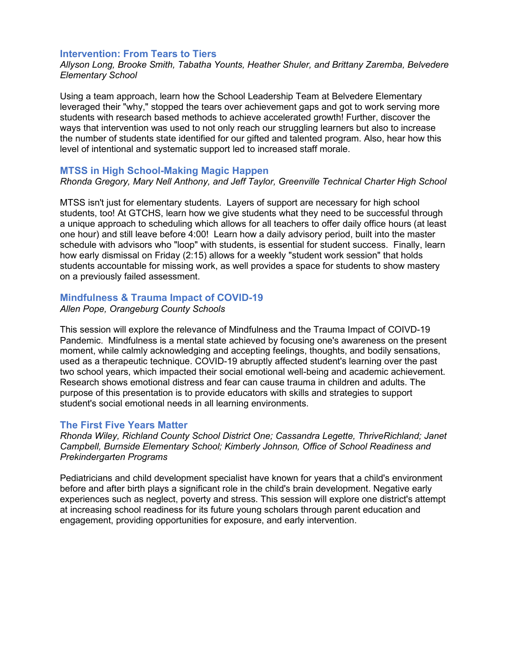#### **Intervention: From Tears to Tiers**

*Allyson Long, Brooke Smith, Tabatha Younts, Heather Shuler, and Brittany Zaremba, Belvedere Elementary School*

Using a team approach, learn how the School Leadership Team at Belvedere Elementary leveraged their "why," stopped the tears over achievement gaps and got to work serving more students with research based methods to achieve accelerated growth! Further, discover the ways that intervention was used to not only reach our struggling learners but also to increase the number of students state identified for our gifted and talented program. Also, hear how this level of intentional and systematic support led to increased staff morale.

#### **MTSS in High School-Making Magic Happen**

*Rhonda Gregory, Mary Nell Anthony, and Jeff Taylor, Greenville Technical Charter High School*

MTSS isn't just for elementary students. Layers of support are necessary for high school students, too! At GTCHS, learn how we give students what they need to be successful through a unique approach to scheduling which allows for all teachers to offer daily office hours (at least one hour) and still leave before 4:00! Learn how a daily advisory period, built into the master schedule with advisors who "loop" with students, is essential for student success. Finally, learn how early dismissal on Friday (2:15) allows for a weekly "student work session" that holds students accountable for missing work, as well provides a space for students to show mastery on a previously failed assessment.

### **Mindfulness & Trauma Impact of COVID-19**

*Allen Pope, Orangeburg County Schools*

This session will explore the relevance of Mindfulness and the Trauma Impact of COIVD-19 Pandemic. Mindfulness is a mental state achieved by focusing one's awareness on the present moment, while calmly acknowledging and accepting feelings, thoughts, and bodily sensations, used as a therapeutic technique. COVID-19 abruptly affected student's learning over the past two school years, which impacted their social emotional well-being and academic achievement. Research shows emotional distress and fear can cause trauma in children and adults. The purpose of this presentation is to provide educators with skills and strategies to support student's social emotional needs in all learning environments.

#### **The First Five Years Matter**

*Rhonda Wiley, Richland County School District One; Cassandra Legette, ThriveRichland; Janet Campbell, Burnside Elementary School; Kimberly Johnson, Office of School Readiness and Prekindergarten Programs*

Pediatricians and child development specialist have known for years that a child's environment before and after birth plays a significant role in the child's brain development. Negative early experiences such as neglect, poverty and stress. This session will explore one district's attempt at increasing school readiness for its future young scholars through parent education and engagement, providing opportunities for exposure, and early intervention.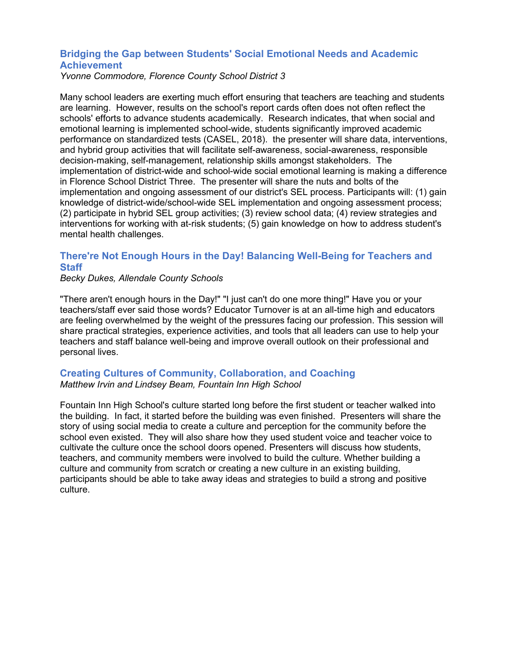## **Bridging the Gap between Students' Social Emotional Needs and Academic Achievement**

*Yvonne Commodore, Florence County School District 3*

Many school leaders are exerting much effort ensuring that teachers are teaching and students are learning. However, results on the school's report cards often does not often reflect the schools' efforts to advance students academically. Research indicates, that when social and emotional learning is implemented school-wide, students significantly improved academic performance on standardized tests (CASEL, 2018). the presenter will share data, interventions, and hybrid group activities that will facilitate self-awareness, social-awareness, responsible decision-making, self-management, relationship skills amongst stakeholders. The implementation of district-wide and school-wide social emotional learning is making a difference in Florence School District Three. The presenter will share the nuts and bolts of the implementation and ongoing assessment of our district's SEL process. Participants will: (1) gain knowledge of district-wide/school-wide SEL implementation and ongoing assessment process; (2) participate in hybrid SEL group activities; (3) review school data; (4) review strategies and interventions for working with at-risk students; (5) gain knowledge on how to address student's mental health challenges.

## **There're Not Enough Hours in the Day! Balancing Well-Being for Teachers and Staff**

#### *Becky Dukes, Allendale County Schools*

"There aren't enough hours in the Day!" "I just can't do one more thing!" Have you or your teachers/staff ever said those words? Educator Turnover is at an all-time high and educators are feeling overwhelmed by the weight of the pressures facing our profession. This session will share practical strategies, experience activities, and tools that all leaders can use to help your teachers and staff balance well-being and improve overall outlook on their professional and personal lives.

### **Creating Cultures of Community, Collaboration, and Coaching** *Matthew Irvin and Lindsey Beam, Fountain Inn High School*

Fountain Inn High School's culture started long before the first student or teacher walked into the building. In fact, it started before the building was even finished. Presenters will share the story of using social media to create a culture and perception for the community before the school even existed. They will also share how they used student voice and teacher voice to cultivate the culture once the school doors opened. Presenters will discuss how students, teachers, and community members were involved to build the culture. Whether building a culture and community from scratch or creating a new culture in an existing building, participants should be able to take away ideas and strategies to build a strong and positive culture.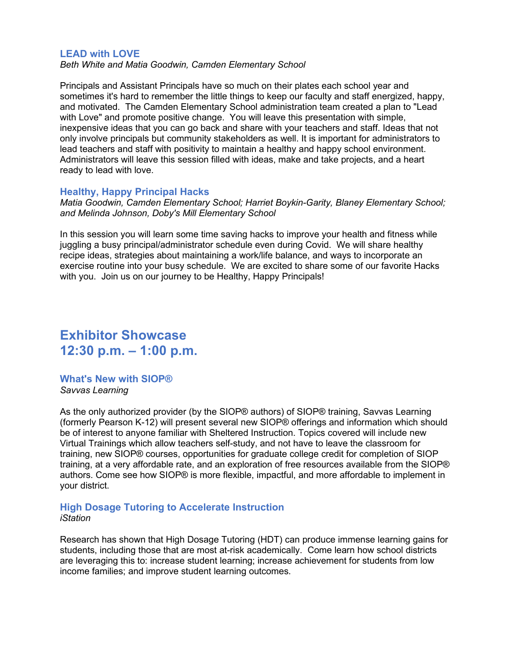#### **LEAD with LOVE**

*Beth White and Matia Goodwin, Camden Elementary School* 

Principals and Assistant Principals have so much on their plates each school year and sometimes it's hard to remember the little things to keep our faculty and staff energized, happy, and motivated. The Camden Elementary School administration team created a plan to "Lead with Love" and promote positive change. You will leave this presentation with simple, inexpensive ideas that you can go back and share with your teachers and staff. Ideas that not only involve principals but community stakeholders as well. It is important for administrators to lead teachers and staff with positivity to maintain a healthy and happy school environment. Administrators will leave this session filled with ideas, make and take projects, and a heart ready to lead with love.

#### **Healthy, Happy Principal Hacks**

*Matia Goodwin, Camden Elementary School; Harriet Boykin-Garity, Blaney Elementary School; and Melinda Johnson, Doby's Mill Elementary School*

In this session you will learn some time saving hacks to improve your health and fitness while juggling a busy principal/administrator schedule even during Covid. We will share healthy recipe ideas, strategies about maintaining a work/life balance, and ways to incorporate an exercise routine into your busy schedule. We are excited to share some of our favorite Hacks with you. Join us on our journey to be Healthy, Happy Principals!

## **Exhibitor Showcase 12:30 p.m. – 1:00 p.m.**

**What's New with SIOP®** *Savvas Learning*

As the only authorized provider (by the SIOP® authors) of SIOP® training, Savvas Learning (formerly Pearson K-12) will present several new SIOP® offerings and information which should be of interest to anyone familiar with Sheltered Instruction. Topics covered will include new Virtual Trainings which allow teachers self-study, and not have to leave the classroom for training, new SIOP® courses, opportunities for graduate college credit for completion of SIOP training, at a very affordable rate, and an exploration of free resources available from the SIOP® authors. Come see how SIOP® is more flexible, impactful, and more affordable to implement in your district.

#### **High Dosage Tutoring to Accelerate Instruction** *iStation*

Research has shown that High Dosage Tutoring (HDT) can produce immense learning gains for students, including those that are most at-risk academically. Come learn how school districts are leveraging this to: increase student learning; increase achievement for students from low income families; and improve student learning outcomes.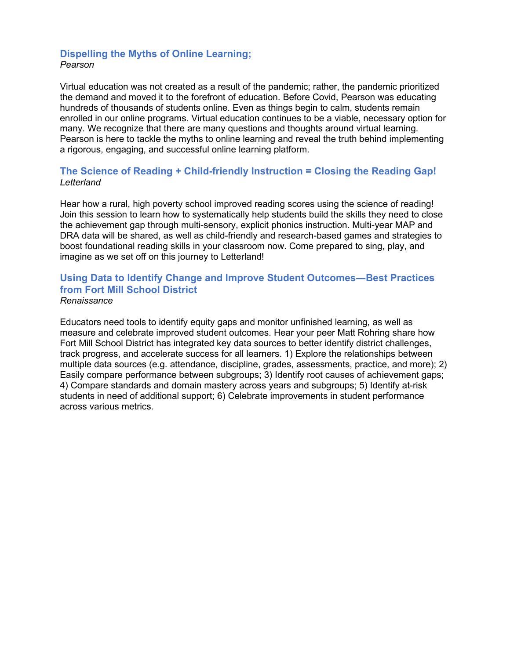## **Dispelling the Myths of Online Learning;** *Pearson*

Virtual education was not created as a result of the pandemic; rather, the pandemic prioritized the demand and moved it to the forefront of education. Before Covid, Pearson was educating hundreds of thousands of students online. Even as things begin to calm, students remain enrolled in our online programs. Virtual education continues to be a viable, necessary option for many. We recognize that there are many questions and thoughts around virtual learning. Pearson is here to tackle the myths to online learning and reveal the truth behind implementing a rigorous, engaging, and successful online learning platform.

## **The Science of Reading + Child-friendly Instruction = Closing the Reading Gap!** *Letterland*

Hear how a rural, high poverty school improved reading scores using the science of reading! Join this session to learn how to systematically help students build the skills they need to close the achievement gap through multi-sensory, explicit phonics instruction. Multi-year MAP and DRA data will be shared, as well as child-friendly and research-based games and strategies to boost foundational reading skills in your classroom now. Come prepared to sing, play, and imagine as we set off on this journey to Letterland!

#### **Using Data to Identify Change and Improve Student Outcomes―Best Practices from Fort Mill School District** *Renaissance*

Educators need tools to identify equity gaps and monitor unfinished learning, as well as measure and celebrate improved student outcomes. Hear your peer Matt Rohring share how Fort Mill School District has integrated key data sources to better identify district challenges, track progress, and accelerate success for all learners. 1) Explore the relationships between multiple data sources (e.g. attendance, discipline, grades, assessments, practice, and more); 2) Easily compare performance between subgroups; 3) Identify root causes of achievement gaps; 4) Compare standards and domain mastery across years and subgroups; 5) Identify at-risk students in need of additional support; 6) Celebrate improvements in student performance across various metrics.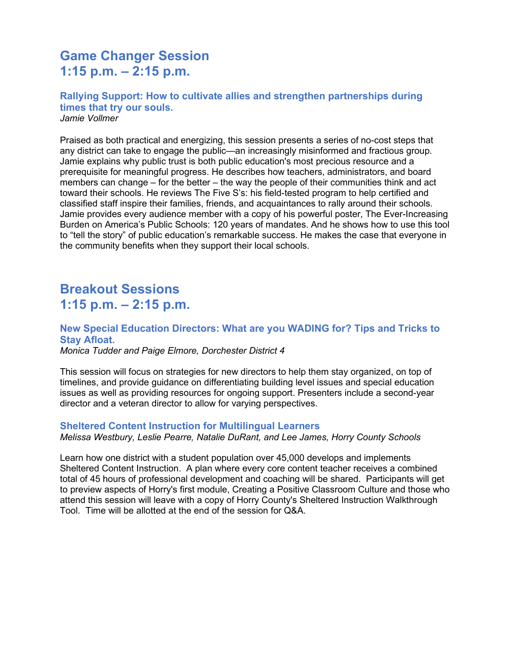# **Game Changer Session 1:15 p.m. – 2:15 p.m.**

#### **Rallying Support: How to cultivate allies and strengthen partnerships during times that try our souls.**  *Jamie Vollmer*

Praised as both practical and energizing, this session presents a series of no-cost steps that any district can take to engage the public—an increasingly misinformed and fractious group. Jamie explains why public trust is both public education's most precious resource and a prerequisite for meaningful progress. He describes how teachers, administrators, and board members can change – for the better – the way the people of their communities think and act toward their schools. He reviews The Five S's: his field-tested program to help certified and classified staff inspire their families, friends, and acquaintances to rally around their schools. Jamie provides every audience member with a copy of his powerful poster, The Ever-Increasing Burden on America's Public Schools: 120 years of mandates. And he shows how to use this tool to "tell the story" of public education's remarkable success. He makes the case that everyone in the community benefits when they support their local schools.

# **Breakout Sessions 1:15 p.m. – 2:15 p.m.**

## **New Special Education Directors: What are you WADING for? Tips and Tricks to Stay Afloat.**

*Monica Tudder and Paige Elmore, Dorchester District 4*

This session will focus on strategies for new directors to help them stay organized, on top of timelines, and provide guidance on differentiating building level issues and special education issues as well as providing resources for ongoing support. Presenters include a second-year director and a veteran director to allow for varying perspectives.

#### **Sheltered Content Instruction for Multilingual Learners**

*Melissa Westbury, Leslie Pearre, Natalie DuRant, and Lee James, Horry County Schools*

Learn how one district with a student population over 45,000 develops and implements Sheltered Content Instruction. A plan where every core content teacher receives a combined total of 45 hours of professional development and coaching will be shared. Participants will get to preview aspects of Horry's first module, Creating a Positive Classroom Culture and those who attend this session will leave with a copy of Horry County's Sheltered Instruction Walkthrough Tool. Time will be allotted at the end of the session for Q&A.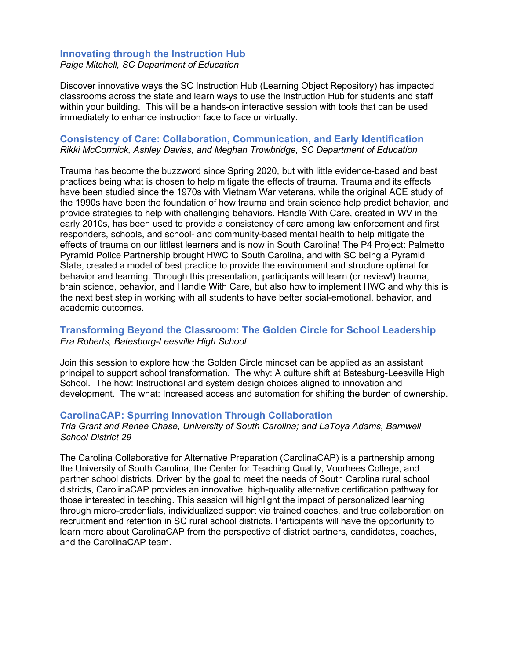# **Innovating through the Instruction Hub**

*Paige Mitchell, SC Department of Education*

Discover innovative ways the SC Instruction Hub (Learning Object Repository) has impacted classrooms across the state and learn ways to use the Instruction Hub for students and staff within your building. This will be a hands-on interactive session with tools that can be used immediately to enhance instruction face to face or virtually.

## **Consistency of Care: Collaboration, Communication, and Early Identification** *Rikki McCormick, Ashley Davies, and Meghan Trowbridge, SC Department of Education*

Trauma has become the buzzword since Spring 2020, but with little evidence-based and best practices being what is chosen to help mitigate the effects of trauma. Trauma and its effects have been studied since the 1970s with Vietnam War veterans, while the original ACE study of the 1990s have been the foundation of how trauma and brain science help predict behavior, and provide strategies to help with challenging behaviors. Handle With Care, created in WV in the early 2010s, has been used to provide a consistency of care among law enforcement and first responders, schools, and school- and community-based mental health to help mitigate the effects of trauma on our littlest learners and is now in South Carolina! The P4 Project: Palmetto Pyramid Police Partnership brought HWC to South Carolina, and with SC being a Pyramid State, created a model of best practice to provide the environment and structure optimal for behavior and learning. Through this presentation, participants will learn (or review!) trauma, brain science, behavior, and Handle With Care, but also how to implement HWC and why this is the next best step in working with all students to have better social-emotional, behavior, and academic outcomes.

## **Transforming Beyond the Classroom: The Golden Circle for School Leadership** *Era Roberts, Batesburg-Leesville High School*

Join this session to explore how the Golden Circle mindset can be applied as an assistant principal to support school transformation. The why: A culture shift at Batesburg-Leesville High School. The how: Instructional and system design choices aligned to innovation and development. The what: Increased access and automation for shifting the burden of ownership.

## **CarolinaCAP: Spurring Innovation Through Collaboration**

*Tria Grant and Renee Chase, University of South Carolina; and LaToya Adams, Barnwell School District 29*

The Carolina Collaborative for Alternative Preparation (CarolinaCAP) is a partnership among the University of South Carolina, the Center for Teaching Quality, Voorhees College, and partner school districts. Driven by the goal to meet the needs of South Carolina rural school districts, CarolinaCAP provides an innovative, high-quality alternative certification pathway for those interested in teaching. This session will highlight the impact of personalized learning through micro-credentials, individualized support via trained coaches, and true collaboration on recruitment and retention in SC rural school districts. Participants will have the opportunity to learn more about CarolinaCAP from the perspective of district partners, candidates, coaches, and the CarolinaCAP team.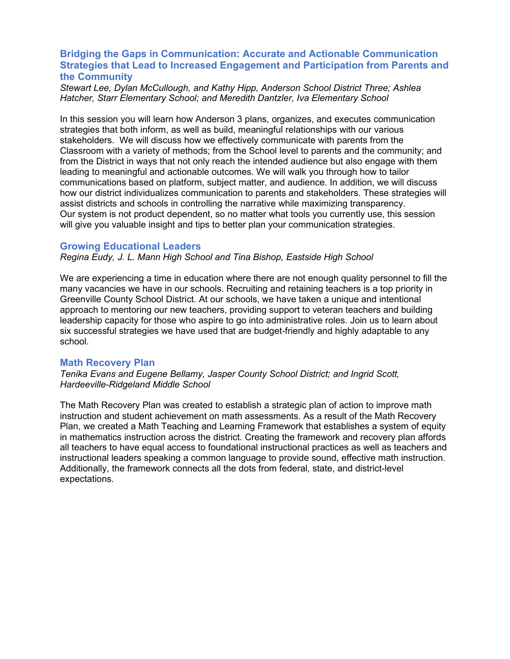## **Bridging the Gaps in Communication: Accurate and Actionable Communication Strategies that Lead to Increased Engagement and Participation from Parents and the Community**

*Stewart Lee, Dylan McCullough, and Kathy Hipp, Anderson School District Three; Ashlea Hatcher, Starr Elementary School; and Meredith Dantzler, Iva Elementary School*

In this session you will learn how Anderson 3 plans, organizes, and executes communication strategies that both inform, as well as build, meaningful relationships with our various stakeholders. We will discuss how we effectively communicate with parents from the Classroom with a variety of methods; from the School level to parents and the community; and from the District in ways that not only reach the intended audience but also engage with them leading to meaningful and actionable outcomes. We will walk you through how to tailor communications based on platform, subject matter, and audience. In addition, we will discuss how our district individualizes communication to parents and stakeholders. These strategies will assist districts and schools in controlling the narrative while maximizing transparency. Our system is not product dependent, so no matter what tools you currently use, this session will give you valuable insight and tips to better plan your communication strategies.

#### **Growing Educational Leaders**

*Regina Eudy, J. L. Mann High School and Tina Bishop, Eastside High School*

We are experiencing a time in education where there are not enough quality personnel to fill the many vacancies we have in our schools. Recruiting and retaining teachers is a top priority in Greenville County School District. At our schools, we have taken a unique and intentional approach to mentoring our new teachers, providing support to veteran teachers and building leadership capacity for those who aspire to go into administrative roles. Join us to learn about six successful strategies we have used that are budget-friendly and highly adaptable to any school.

### **Math Recovery Plan**

*Tenika Evans and Eugene Bellamy, Jasper County School District; and Ingrid Scott, Hardeeville-Ridgeland Middle School*

The Math Recovery Plan was created to establish a strategic plan of action to improve math instruction and student achievement on math assessments. As a result of the Math Recovery Plan, we created a Math Teaching and Learning Framework that establishes a system of equity in mathematics instruction across the district. Creating the framework and recovery plan affords all teachers to have equal access to foundational instructional practices as well as teachers and instructional leaders speaking a common language to provide sound, effective math instruction. Additionally, the framework connects all the dots from federal, state, and district-level expectations.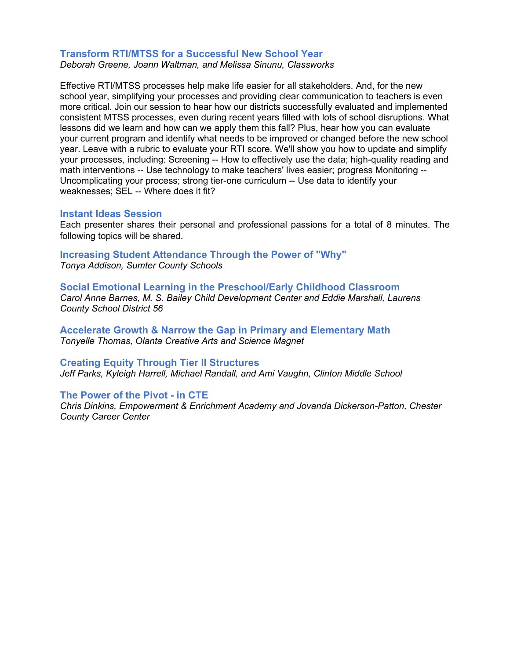## **Transform RTI/MTSS for a Successful New School Year**

*Deborah Greene, Joann Waltman, and Melissa Sinunu, Classworks*

Effective RTI/MTSS processes help make life easier for all stakeholders. And, for the new school year, simplifying your processes and providing clear communication to teachers is even more critical. Join our session to hear how our districts successfully evaluated and implemented consistent MTSS processes, even during recent years filled with lots of school disruptions. What lessons did we learn and how can we apply them this fall? Plus, hear how you can evaluate your current program and identify what needs to be improved or changed before the new school year. Leave with a rubric to evaluate your RTI score. We'll show you how to update and simplify your processes, including: Screening -- How to effectively use the data; high-quality reading and math interventions -- Use technology to make teachers' lives easier; progress Monitoring -- Uncomplicating your process; strong tier-one curriculum -- Use data to identify your weaknesses; SEL -- Where does it fit?

#### **Instant Ideas Session**

Each presenter shares their personal and professional passions for a total of 8 minutes. The following topics will be shared.

### **Increasing Student Attendance Through the Power of "Why"** *Tonya Addison, Sumter County Schools*

**Social Emotional Learning in the Preschool/Early Childhood Classroom** *Carol Anne Barnes, M. S. Bailey Child Development Center and Eddie Marshall, Laurens County School District 56*

**Accelerate Growth & Narrow the Gap in Primary and Elementary Math** *Tonyelle Thomas, Olanta Creative Arts and Science Magnet*

#### **Creating Equity Through Tier II Structures**

*Jeff Parks, Kyleigh Harrell, Michael Randall, and Ami Vaughn, Clinton Middle School*

#### **The Power of the Pivot - in CTE**

*Chris Dinkins, Empowerment & Enrichment Academy and Jovanda Dickerson-Patton, Chester County Career Center*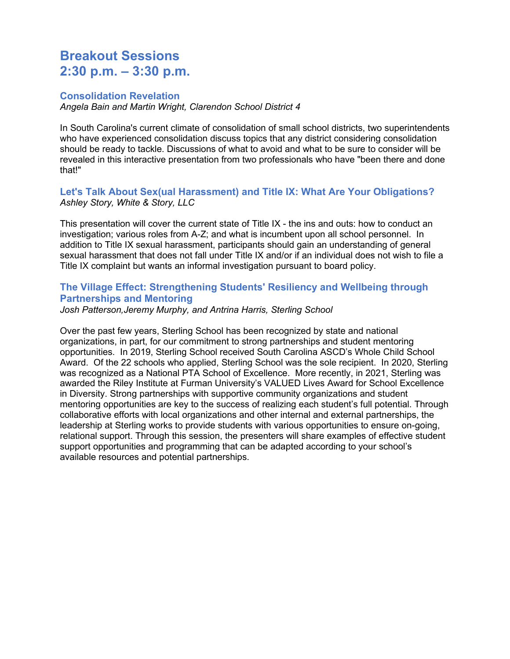## **Breakout Sessions 2:30 p.m. – 3:30 p.m.**

### **Consolidation Revelation**

*Angela Bain and Martin Wright, Clarendon School District 4*

In South Carolina's current climate of consolidation of small school districts, two superintendents who have experienced consolidation discuss topics that any district considering consolidation should be ready to tackle. Discussions of what to avoid and what to be sure to consider will be revealed in this interactive presentation from two professionals who have "been there and done that!"

## **Let's Talk About Sex(ual Harassment) and Title IX: What Are Your Obligations?** *Ashley Story, White & Story, LLC*

This presentation will cover the current state of Title IX - the ins and outs: how to conduct an investigation; various roles from A-Z; and what is incumbent upon all school personnel. In addition to Title IX sexual harassment, participants should gain an understanding of general sexual harassment that does not fall under Title IX and/or if an individual does not wish to file a Title IX complaint but wants an informal investigation pursuant to board policy.

## **The Village Effect: Strengthening Students' Resiliency and Wellbeing through Partnerships and Mentoring**

*Josh Patterson,Jeremy Murphy, and Antrina Harris, Sterling School*

Over the past few years, Sterling School has been recognized by state and national organizations, in part, for our commitment to strong partnerships and student mentoring opportunities. In 2019, Sterling School received South Carolina ASCD's Whole Child School Award. Of the 22 schools who applied, Sterling School was the sole recipient. In 2020, Sterling was recognized as a National PTA School of Excellence. More recently, in 2021, Sterling was awarded the Riley Institute at Furman University's VALUED Lives Award for School Excellence in Diversity. Strong partnerships with supportive community organizations and student mentoring opportunities are key to the success of realizing each student's full potential. Through collaborative efforts with local organizations and other internal and external partnerships, the leadership at Sterling works to provide students with various opportunities to ensure on-going, relational support. Through this session, the presenters will share examples of effective student support opportunities and programming that can be adapted according to your school's available resources and potential partnerships.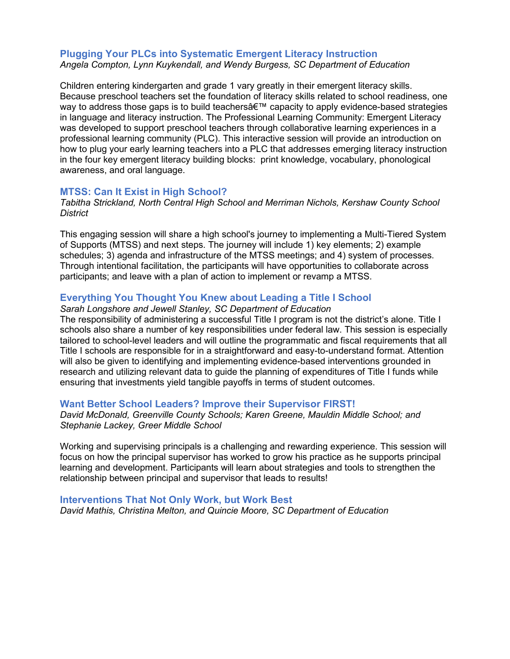#### **Plugging Your PLCs into Systematic Emergent Literacy Instruction** *Angela Compton, Lynn Kuykendall, and Wendy Burgess, SC Department of Education*

Children entering kindergarten and grade 1 vary greatly in their emergent literacy skills. Because preschool teachers set the foundation of literacy skills related to school readiness, one way to address those gaps is to build teachers  $\hat{\theta} \in \mathbb{M}$  capacity to apply evidence-based strategies in language and literacy instruction. The Professional Learning Community: Emergent Literacy was developed to support preschool teachers through collaborative learning experiences in a professional learning community (PLC). This interactive session will provide an introduction on how to plug your early learning teachers into a PLC that addresses emerging literacy instruction in the four key emergent literacy building blocks: print knowledge, vocabulary, phonological awareness, and oral language.

#### **MTSS: Can It Exist in High School?**

*Tabitha Strickland, North Central High School and Merriman Nichols, Kershaw County School District*

This engaging session will share a high school's journey to implementing a Multi-Tiered System of Supports (MTSS) and next steps. The journey will include 1) key elements; 2) example schedules; 3) agenda and infrastructure of the MTSS meetings; and 4) system of processes. Through intentional facilitation, the participants will have opportunities to collaborate across participants; and leave with a plan of action to implement or revamp a MTSS.

### **Everything You Thought You Knew about Leading a Title I School**

#### *Sarah Longshore and Jewell Stanley, SC Department of Education*

The responsibility of administering a successful Title I program is not the district's alone. Title I schools also share a number of key responsibilities under federal law. This session is especially tailored to school-level leaders and will outline the programmatic and fiscal requirements that all Title I schools are responsible for in a straightforward and easy-to-understand format. Attention will also be given to identifying and implementing evidence-based interventions grounded in research and utilizing relevant data to guide the planning of expenditures of Title I funds while ensuring that investments yield tangible payoffs in terms of student outcomes.

#### **Want Better School Leaders? Improve their Supervisor FIRST!**

*David McDonald, Greenville County Schools; Karen Greene, Mauldin Middle School; and Stephanie Lackey, Greer Middle School*

Working and supervising principals is a challenging and rewarding experience. This session will focus on how the principal supervisor has worked to grow his practice as he supports principal learning and development. Participants will learn about strategies and tools to strengthen the relationship between principal and supervisor that leads to results!

#### **Interventions That Not Only Work, but Work Best**

*David Mathis, Christina Melton, and Quincie Moore, SC Department of Education*